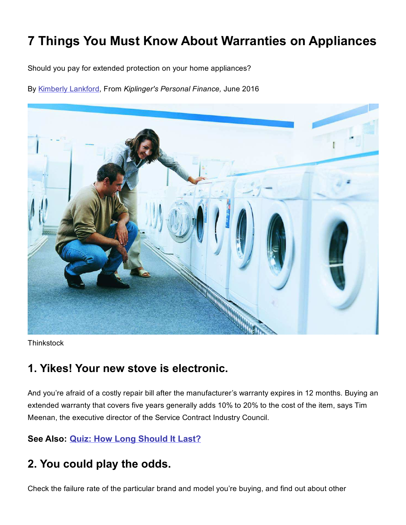# 7 Things You Must Know About Warranties on Appliances

Should you pay for extended protection on your home appliances?

By [Kimberly Lankford,](http://www.kiplinger.com/fronts/archive/bios/index.html?bylineID=10) From Kiplinger's Personal Finance, June 2016



**Thinkstock** 

#### 1. Yikes! Your new stove is electronic.

And you're afraid of a costly repair bill after the manufacturer's warranty expires in 12 months. Buying an extended warranty that covers five years generally adds 10% to 20% to the cost of the item, says Tim Meenan, the executive director of the Service Contract Industry Council.

#### See Also: **[Quiz: How Long Should It Last?](http://www.kiplinger.com/quiz/real-estate/T029-S001-how-long-should-it-last/)**

#### 2. You could play the odds.

Check the failure rate of the particular brand and model you're buying, and find out about other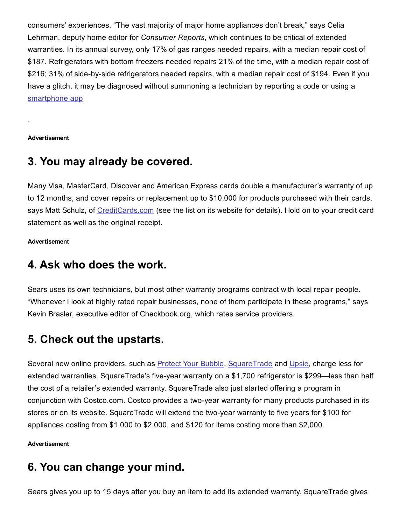consumers' experiences. "The vast majority of major home appliances don't break," says Celia Lehrman, deputy home editor for *Consumer Reports*, which continues to be critical of extended warranties. In its annual survey, only 17% of gas ranges needed repairs, with a median repair cost of \$187. Refrigerators with bottom freezers needed repairs 21% of the time, with a median repair cost of \$216; 31% of side-by-side refrigerators needed repairs, with a median repair cost of \$194. Even if you have a glitch, it may be diagnosed without summoning a technician by reporting a code or using a [smartphone app](http://www.betterworld.com/pro-android-media-id-9781430232674.aspx)

Advertisement

.

#### 3. You may already be covered.

Many Visa, MasterCard, Discover and American Express cards double a manufacturer's warranty of up to 12 months, and cover repairs or replacement up to \$10,000 for products purchased with their cards, says Matt Schulz, of [CreditCards.com](http://creditcards.com/) (see the list on its website for details). Hold on to your credit card statement as well as the original receipt.

Advertisement

#### 4. Ask who does the work.

Sears uses its own technicians, but most other warranty programs contract with local repair people. "Whenever I look at highly rated repair businesses, none of them participate in these programs," says Kevin Brasler, executive editor of Checkbook.org, which rates service providers.

## 5. Check out the upstarts.

Several new online providers, such as **Protect Your Bubble, [SquareTrade](http://squaretrade.com/) and [Upsie](http://upsie.com/)**, charge less for extended warranties. SquareTrade's five-year warranty on a \$1,700 refrigerator is \$299—less than half the cost of a retailer's extended warranty. SquareTrade also just started offering a program in conjunction with Costco.com. Costco provides a two-year warranty for many products purchased in its stores or on its website. SquareTrade will extend the two-year warranty to five years for \$100 for appliances costing from \$1,000 to \$2,000, and \$120 for items costing more than \$2,000.

#### Advertisement

## 6. You can change your mind.

Sears gives you up to 15 days after you buy an item to add its extended warranty. SquareTrade gives